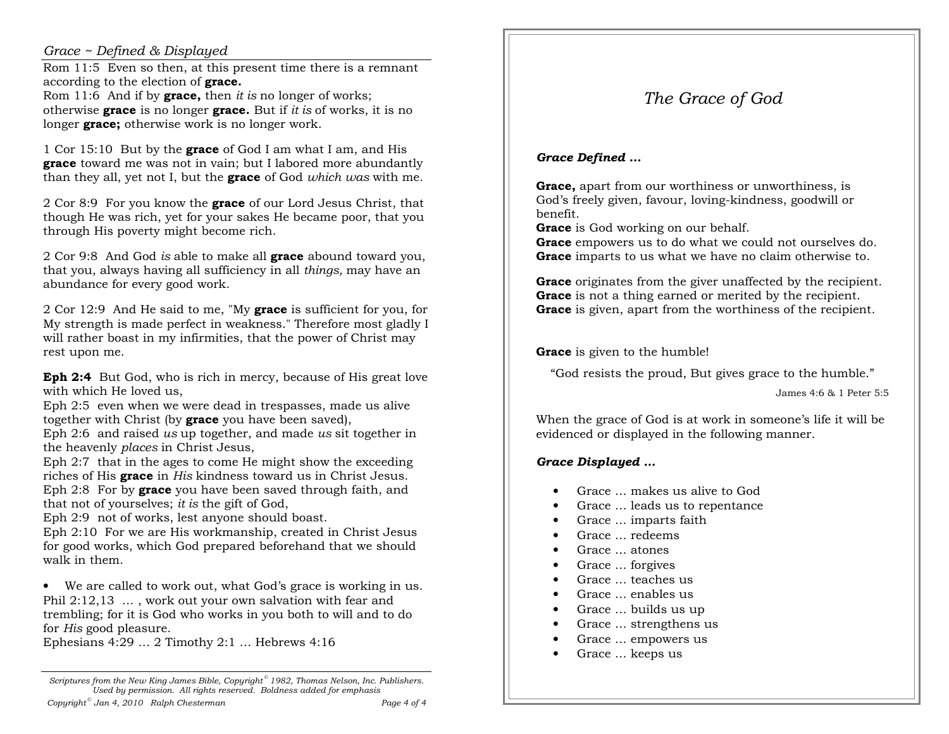#### *Grace ~ Defined & Displayed*

 Rom 11:5 Even so then, at this present time there is a remnant according to the election of **grace.**

 Rom 11:6 And if by **grace,** then *it is* no longer of works; otherwise **grace** is no longer **grace.** But if *it is* of works, it is no longer **grace;** otherwise work is no longer work.

1 Cor 15:10 But by the **grace** of God I am what I am, and His **grace** toward me was not in vain; but I labored more abundantly than they all, yet not I, but the **grace** of God *which was* with me.

2 Cor 8:9 For you know the **grace** of our Lord Jesus Christ, that though He was rich, yet for your sakes He became poor, that you through His poverty might become rich.

2 Cor 9:8 And God *is* able to make all **grace** abound toward you, that you, always having all sufficiency in all *things,* may have an abundance for every good work.

2 Cor 12:9 And He said to me, "My **grace** is sufficient for you, for My strength is made perfect in weakness." Therefore most gladly I will rather boast in my infirmities, that the power of Christ may rest upon me.

**Eph 2:4** But God, who is rich in mercy, because of His great love with which He loved us.

 Eph 2:5 even when we were dead in trespasses, made us alive together with Christ (by **grace** you have been saved),

 Eph 2:6 and raised *us* up together, and made *us* sit together in the heavenly *places* in Christ Jesus,

 Eph 2:7 that in the ages to come He might show the exceeding riches of His **grace** in *His* kindness toward us in Christ Jesus. Eph 2:8 For by **grace** you have been saved through faith, and that not of yourselves; *it is* the gift of God,

Eph 2:9 not of works, lest anyone should boast.

 Eph 2:10 For we are His workmanship, created in Christ Jesus for good works, which God prepared beforehand that we should walk in them.

• We are called to work out, what God's grace is working in us. Phil 2:12,13 … , work out your own salvation with fear and trembling; for it is God who works in you both to will and to do for *His* good pleasure.

Ephesians 4:29 … 2 Timothy 2:1 … Hebrews 4:16

*Scriptures from the New King James Bible, Copyright © 1982, Thomas Nelson, Inc. Publishers. Used by permission. All rights reserved. Boldness added for emphasisCopyright © Jan 4, 2010 Ralph Chesterman Page 4 of 4*

# *The Grace of God*

## *Grace Defined …*

**Grace,** apart from our worthiness or unworthiness, is God's freely given, favour, loving-kindness, goodwill or benefit.

**Grace** is God working on our behalf.

 **Grace** empowers us to do what we could not ourselves do. **Grace** imparts to us what we have no claim otherwise to.

**Grace** originates from the giver unaffected by the recipient. **Grace** is not a thing earned or merited by the recipient. **Grace** is given, apart from the worthiness of the recipient.

**Grace** is given to the humble!

"God resists the proud, But gives grace to the humble."

James 4:6 & 1 Peter 5:5

When the grace of God is at work in someone's life it will be evidenced or displayed in the following manner.

## *Grace Displayed …*

- •Grace … makes us alive to God
- •Grace … leads us to repentance
- •Grace … imparts faith
- •Grace … redeems
- •Grace … atones
- •Grace … forgives
- •Grace teaches us
- •Grace … enables us
- •Grace … builds us up
- •Grace … strengthens us
- •Grace … empowers us
- Grace … keeps us